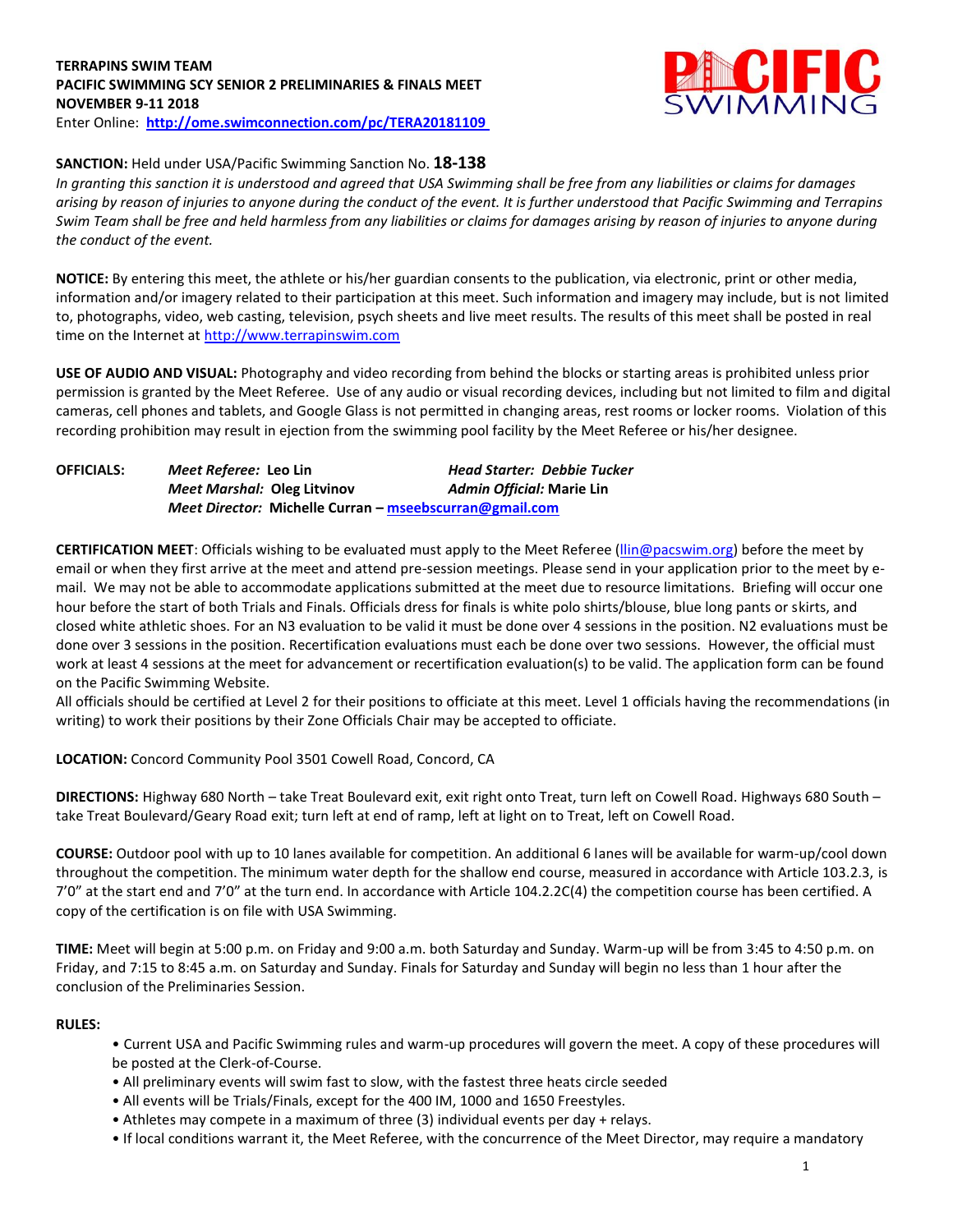### **TERRAPINS SWIM TEAM PACIFIC SWIMMING SCY SENIOR 2 PRELIMINARIES & FINALS MEET NOVEMBER 9-11 2018** Enter Online: **<http://ome.swimconnection.com/pc/TERA20181109>**



# **SANCTION:** Held under USA/Pacific Swimming Sanction No. **18-138**

*In granting this sanction it is understood and agreed that USA Swimming shall be free from any liabilities or claims for damages arising by reason of injuries to anyone during the conduct of the event. It is further understood that Pacific Swimming and Terrapins Swim Team shall be free and held harmless from any liabilities or claims for damages arising by reason of injuries to anyone during the conduct of the event.*

**NOTICE:** By entering this meet, the athlete or his/her guardian consents to the publication, via electronic, print or other media, information and/or imagery related to their participation at this meet. Such information and imagery may include, but is not limited to, photographs, video, web casting, television, psych sheets and live meet results. The results of this meet shall be posted in real time on the Internet at [http://www.terrapinswim.com](http://www.terrapinswim.com/)

**USE OF AUDIO AND VISUAL:** Photography and video recording from behind the blocks or starting areas is prohibited unless prior permission is granted by the Meet Referee. Use of any audio or visual recording devices, including but not limited to film and digital cameras, cell phones and tablets, and Google Glass is not permitted in changing areas, rest rooms or locker rooms. Violation of this recording prohibition may result in ejection from the swimming pool facility by the Meet Referee or his/her designee.

| <b>OFFICIALS:</b> | <i>Meet Referee: Leo Lin</i>                            | <b>Head Starter: Debbie Tucker</b> |  |  |  |  |
|-------------------|---------------------------------------------------------|------------------------------------|--|--|--|--|
|                   | Meet Marshal: Oleg Litvinov                             | Admin Official: Marie Lin          |  |  |  |  |
|                   | Meet Director: Michelle Curran – mseebscurran@gmail.com |                                    |  |  |  |  |

**CERTIFICATION MEET**: Officials wishing to be evaluated must apply to the Meet Referee [\(llin@pacswim.org\)](mailto:llin@pacswim.org) before the meet by email or when they first arrive at the meet and attend pre-session meetings. Please send in your application prior to the meet by email. We may not be able to accommodate applications submitted at the meet due to resource limitations. Briefing will occur one hour before the start of both Trials and Finals. Officials dress for finals is white polo shirts/blouse, blue long pants or skirts, and closed white athletic shoes. For an N3 evaluation to be valid it must be done over 4 sessions in the position. N2 evaluations must be done over 3 sessions in the position. Recertification evaluations must each be done over two sessions. However, the official must work at least 4 sessions at the meet for advancement or recertification evaluation(s) to be valid. The application form can be found on the Pacific Swimming Website.

All officials should be certified at Level 2 for their positions to officiate at this meet. Level 1 officials having the recommendations (in writing) to work their positions by their Zone Officials Chair may be accepted to officiate.

**LOCATION:** Concord Community Pool 3501 Cowell Road, Concord, CA

**DIRECTIONS:** Highway 680 North – take Treat Boulevard exit, exit right onto Treat, turn left on Cowell Road. Highways 680 South – take Treat Boulevard/Geary Road exit; turn left at end of ramp, left at light on to Treat, left on Cowell Road.

**COURSE:** Outdoor pool with up to 10 lanes available for competition. An additional 6 lanes will be available for warm-up/cool down throughout the competition. The minimum water depth for the shallow end course, measured in accordance with Article 103.2.3, is 7'0" at the start end and 7'0" at the turn end. In accordance with Article 104.2.2C(4) the competition course has been certified. A copy of the certification is on file with USA Swimming.

**TIME:** Meet will begin at 5:00 p.m. on Friday and 9:00 a.m. both Saturday and Sunday. Warm-up will be from 3:45 to 4:50 p.m. on Friday, and 7:15 to 8:45 a.m. on Saturday and Sunday. Finals for Saturday and Sunday will begin no less than 1 hour after the conclusion of the Preliminaries Session.

## **RULES:**

- Current USA and Pacific Swimming rules and warm-up procedures will govern the meet. A copy of these procedures will be posted at the Clerk-of-Course.
- All preliminary events will swim fast to slow, with the fastest three heats circle seeded
- All events will be Trials/Finals, except for the 400 IM, 1000 and 1650 Freestyles.
- Athletes may compete in a maximum of three (3) individual events per day + relays.
- If local conditions warrant it, the Meet Referee, with the concurrence of the Meet Director, may require a mandatory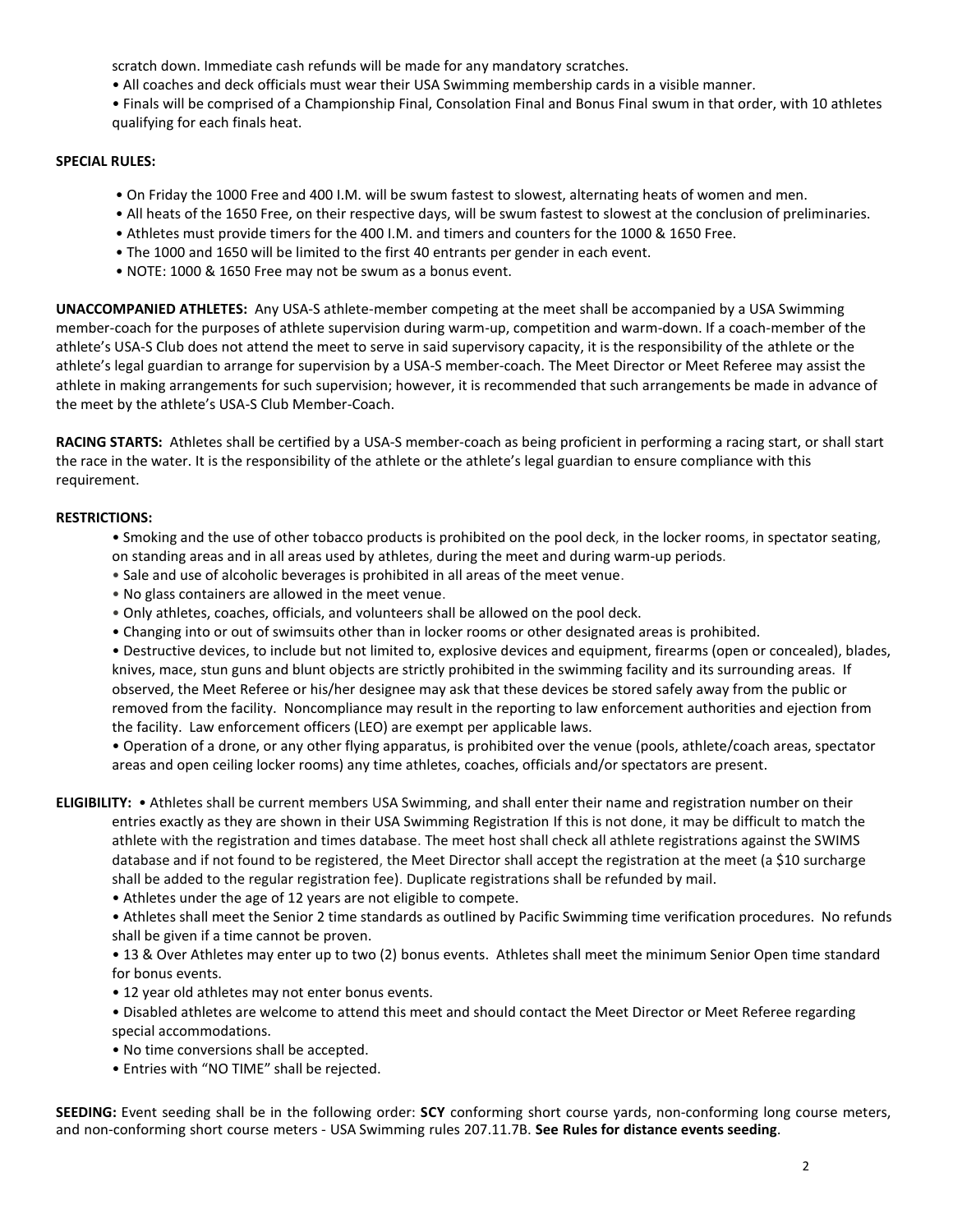scratch down. Immediate cash refunds will be made for any mandatory scratches.

- All coaches and deck officials must wear their USA Swimming membership cards in a visible manner.
- Finals will be comprised of a Championship Final, Consolation Final and Bonus Final swum in that order, with 10 athletes qualifying for each finals heat.

#### **SPECIAL RULES:**

- On Friday the 1000 Free and 400 I.M. will be swum fastest to slowest, alternating heats of women and men.
- All heats of the 1650 Free, on their respective days, will be swum fastest to slowest at the conclusion of preliminaries.
- Athletes must provide timers for the 400 I.M. and timers and counters for the 1000 & 1650 Free.
- The 1000 and 1650 will be limited to the first 40 entrants per gender in each event.
- NOTE: 1000 & 1650 Free may not be swum as a bonus event.

**UNACCOMPANIED ATHLETES:** Any USA-S athlete-member competing at the meet shall be accompanied by a USA Swimming member-coach for the purposes of athlete supervision during warm-up, competition and warm-down. If a coach-member of the athlete's USA-S Club does not attend the meet to serve in said supervisory capacity, it is the responsibility of the athlete or the athlete's legal guardian to arrange for supervision by a USA-S member-coach. The Meet Director or Meet Referee may assist the athlete in making arrangements for such supervision; however, it is recommended that such arrangements be made in advance of the meet by the athlete's USA-S Club Member-Coach.

**RACING STARTS:** Athletes shall be certified by a USA-S member-coach as being proficient in performing a racing start, or shall start the race in the water. It is the responsibility of the athlete or the athlete's legal guardian to ensure compliance with this requirement.

### **RESTRICTIONS:**

- Smoking and the use of other tobacco products is prohibited on the pool deck, in the locker rooms, in spectator seating, on standing areas and in all areas used by athletes, during the meet and during warm-up periods.
- Sale and use of alcoholic beverages is prohibited in all areas of the meet venue.
- No glass containers are allowed in the meet venue.
- Only athletes, coaches, officials, and volunteers shall be allowed on the pool deck.
- Changing into or out of swimsuits other than in locker rooms or other designated areas is prohibited.

• Destructive devices, to include but not limited to, explosive devices and equipment, firearms (open or concealed), blades, knives, mace, stun guns and blunt objects are strictly prohibited in the swimming facility and its surrounding areas. If observed, the Meet Referee or his/her designee may ask that these devices be stored safely away from the public or removed from the facility. Noncompliance may result in the reporting to law enforcement authorities and ejection from the facility. Law enforcement officers (LEO) are exempt per applicable laws.

• Operation of a drone, or any other flying apparatus, is prohibited over the venue (pools, athlete/coach areas, spectator areas and open ceiling locker rooms) any time athletes, coaches, officials and/or spectators are present.

- **ELIGIBILITY:**  Athletes shall be current members USA Swimming, and shall enter their name and registration number on their entries exactly as they are shown in their USA Swimming Registration If this is not done, it may be difficult to match the athlete with the registration and times database. The meet host shall check all athlete registrations against the SWIMS database and if not found to be registered, the Meet Director shall accept the registration at the meet (a \$10 surcharge shall be added to the regular registration fee). Duplicate registrations shall be refunded by mail.
	- Athletes under the age of 12 years are not eligible to compete.

• Athletes shall meet the Senior 2 time standards as outlined by Pacific Swimming time verification procedures. No refunds shall be given if a time cannot be proven.

• 13 & Over Athletes may enter up to two (2) bonus events. Athletes shall meet the minimum Senior Open time standard for bonus events.

- 12 year old athletes may not enter bonus events.
- Disabled athletes are welcome to attend this meet and should contact the Meet Director or Meet Referee regarding special accommodations.
- No time conversions shall be accepted.
- Entries with "NO TIME" shall be rejected.

**SEEDING:** Event seeding shall be in the following order: **SCY** conforming short course yards, non-conforming long course meters, and non-conforming short course meters - USA Swimming rules 207.11.7B. **See Rules for distance events seeding**.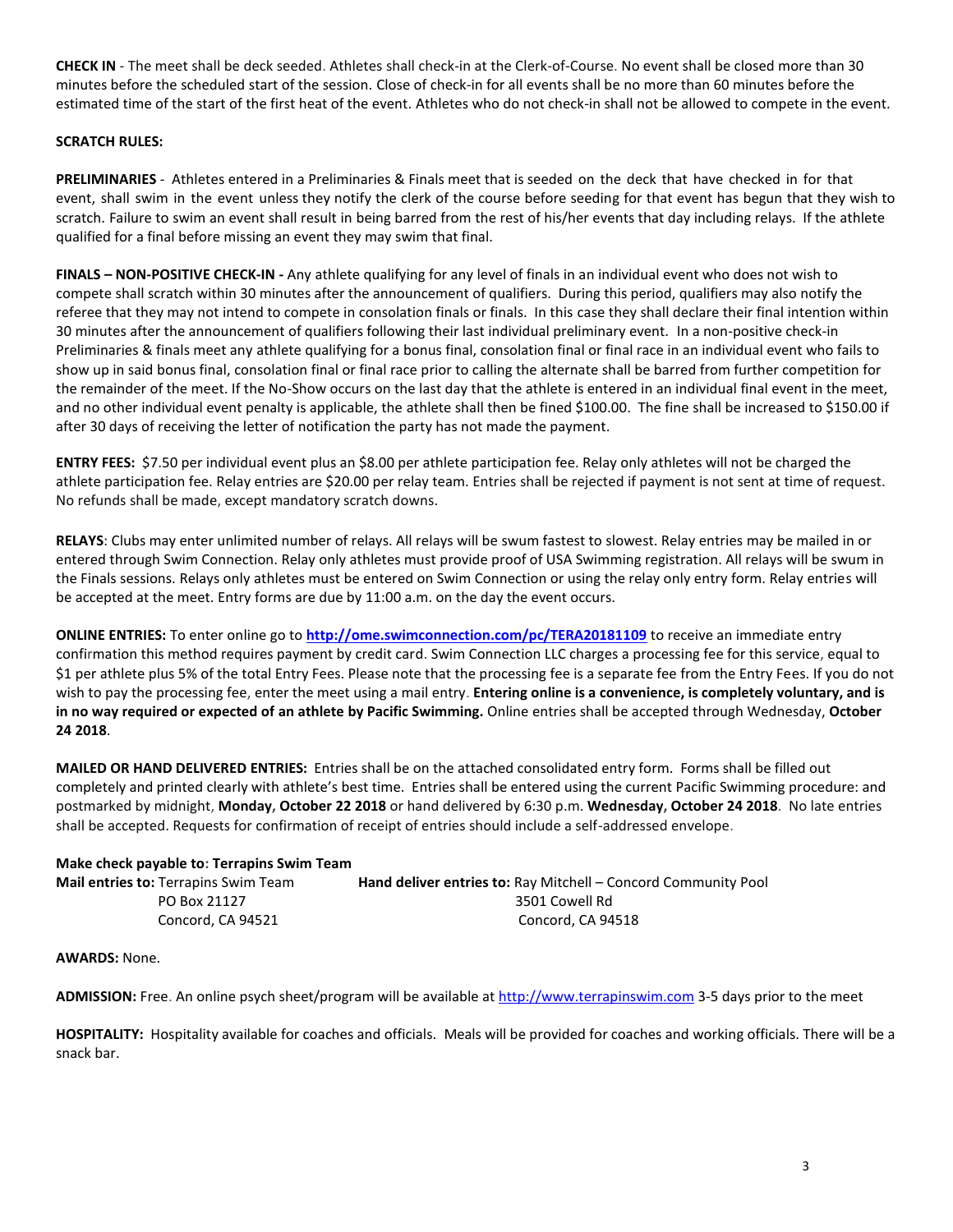**CHECK IN** - The meet shall be deck seeded. Athletes shall check-in at the Clerk-of-Course. No event shall be closed more than 30 minutes before the scheduled start of the session. Close of check‐in for all events shall be no more than 60 minutes before the estimated time of the start of the first heat of the event. Athletes who do not check-in shall not be allowed to compete in the event.

## **SCRATCH RULES:**

**PRELIMINARIES** - Athletes entered in a Preliminaries & Finals meet that is seeded on the deck that have checked in for that event, shall swim in the event unless they notify the clerk of the course before seeding for that event has begun that they wish to scratch. Failure to swim an event shall result in being barred from the rest of his/her events that day including relays. If the athlete qualified for a final before missing an event they may swim that final.

**FINALS – NON-POSITIVE CHECK-IN -** Any athlete qualifying for any level of finals in an individual event who does not wish to compete shall scratch within 30 minutes after the announcement of qualifiers. During this period, qualifiers may also notify the referee that they may not intend to compete in consolation finals or finals. In this case they shall declare their final intention within 30 minutes after the announcement of qualifiers following their last individual preliminary event. In a non-positive check-in Preliminaries & finals meet any athlete qualifying for a bonus final, consolation final or final race in an individual event who fails to show up in said bonus final, consolation final or final race prior to calling the alternate shall be barred from further competition for the remainder of the meet. If the No-Show occurs on the last day that the athlete is entered in an individual final event in the meet, and no other individual event penalty is applicable, the athlete shall then be fined \$100.00. The fine shall be increased to \$150.00 if after 30 days of receiving the letter of notification the party has not made the payment.

**ENTRY FEES:** \$7.50 per individual event plus an \$8.00 per athlete participation fee. Relay only athletes will not be charged the athlete participation fee. Relay entries are \$20.00 per relay team. Entries shall be rejected if payment is not sent at time of request. No refunds shall be made, except mandatory scratch downs.

**RELAYS**: Clubs may enter unlimited number of relays. All relays will be swum fastest to slowest. Relay entries may be mailed in or entered through Swim Connection. Relay only athletes must provide proof of USA Swimming registration. All relays will be swum in the Finals sessions. Relays only athletes must be entered on Swim Connection or using the relay only entry form. Relay entries will be accepted at the meet. Entry forms are due by 11:00 a.m. on the day the event occurs.

**ONLINE ENTRIES:** To enter online go to **<http://ome.swimconnection.com/pc/TERA20181109>** to receive an immediate entry confirmation this method requires payment by credit card. Swim Connection LLC charges a processing fee for this service, equal to \$1 per athlete plus 5% of the total Entry Fees. Please note that the processing fee is a separate fee from the Entry Fees. If you do not wish to pay the processing fee, enter the meet using a mail entry. **Entering online is a convenience, is completely voluntary, and is in no way required or expected of an athlete by Pacific Swimming.** Online entries shall be accepted through Wednesday, **October 24 2018**.

**MAILED OR HAND DELIVERED ENTRIES:** Entries shall be on the attached consolidated entry form. Forms shall be filled out completely and printed clearly with athlete's best time. Entries shall be entered using the current Pacific Swimming procedure: and postmarked by midnight, **Monday, October 22 2018** or hand delivered by 6:30 p.m. **Wednesday, October 24 2018**. No late entries shall be accepted. Requests for confirmation of receipt of entries should include a self-addressed envelope.

| Make check payable to: Terrapins Swim Team  |                                                                       |
|---------------------------------------------|-----------------------------------------------------------------------|
| <b>Mail entries to: Terrapins Swim Team</b> | <b>Hand deliver entries to: Ray Mitchell – Concord Community Pool</b> |
| PO Box 21127                                | 3501 Cowell Rd                                                        |
| Concord. CA 94521                           | Concord. CA 94518                                                     |

**AWARDS:** None.

**ADMISSION:** Free. An online psych sheet/program will be available a[t http://www.terrapinswim.com](http://www.terrapinswim.com/) 3-5 days prior to the meet

**HOSPITALITY:** Hospitality available for coaches and officials. Meals will be provided for coaches and working officials. There will be a snack bar.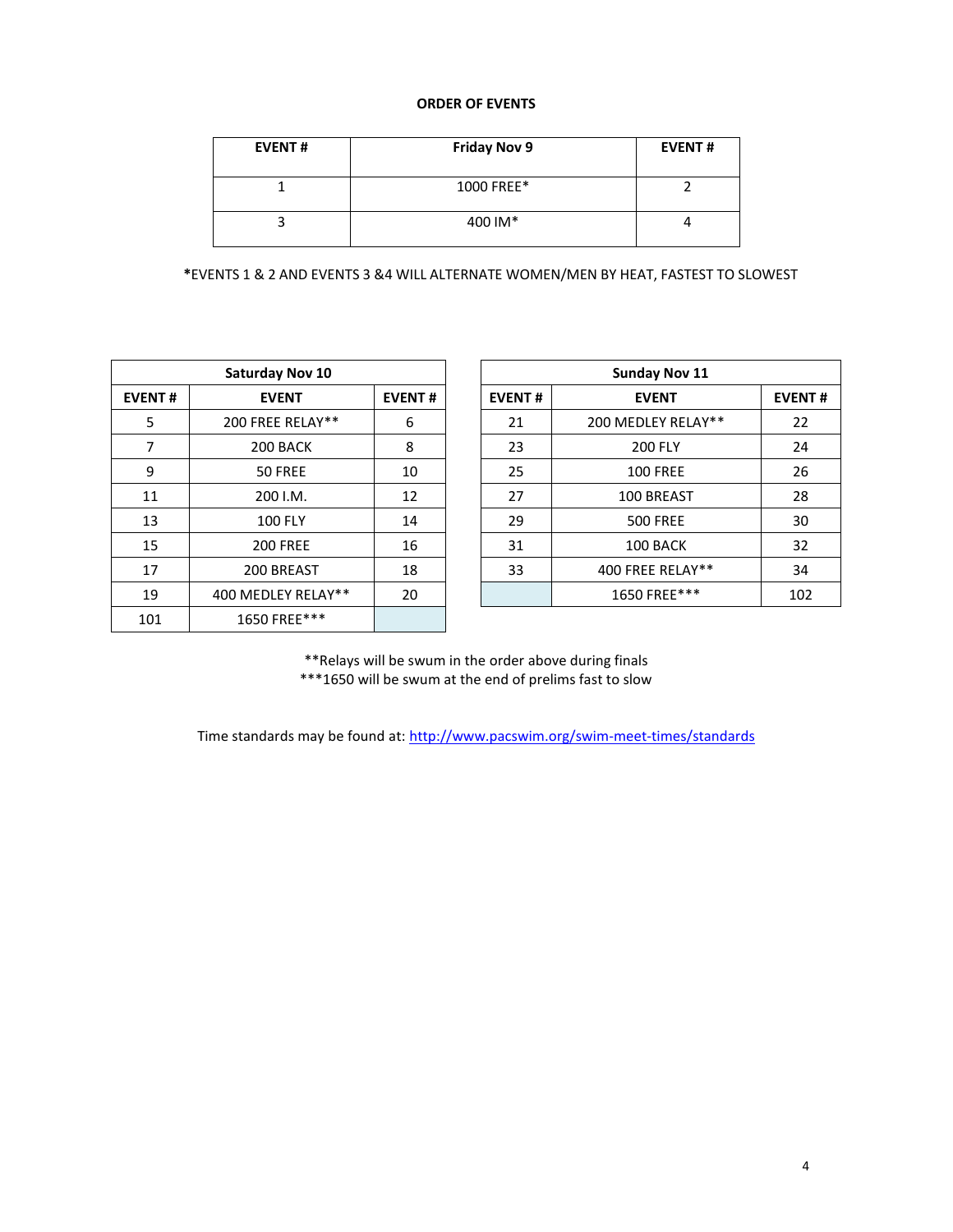# **ORDER OF EVENTS**

| <b>EVENT#</b> | <b>Friday Nov 9</b> | <b>EVENT#</b> |
|---------------|---------------------|---------------|
|               | 1000 FREE*          |               |
|               | 400 IM*             |               |

 **\***EVENTS 1 & 2 AND EVENTS 3 &4 WILL ALTERNATE WOMEN/MEN BY HEAT, FASTEST TO SLOWEST

| <b>Saturday Nov 10</b> |                    |    |  |  |  |  |  |  |
|------------------------|--------------------|----|--|--|--|--|--|--|
| <b>EVENT#</b>          | <b>EVENT#</b>      |    |  |  |  |  |  |  |
| 5                      | 200 FREE RELAY**   | 6  |  |  |  |  |  |  |
| 7                      | 200 BACK           | 8  |  |  |  |  |  |  |
| 9                      | 50 FREE            | 10 |  |  |  |  |  |  |
| 11                     | 200 I.M.           | 12 |  |  |  |  |  |  |
| 13                     | <b>100 FLY</b>     | 14 |  |  |  |  |  |  |
| 15                     | <b>200 FREE</b>    | 16 |  |  |  |  |  |  |
| 17                     | 200 BREAST         | 18 |  |  |  |  |  |  |
| 19                     | 400 MEDLEY RELAY** | 20 |  |  |  |  |  |  |
| 101                    | 1650 FREE***       |    |  |  |  |  |  |  |

|               | <b>Saturday Nov 10</b> |               | <b>Sunday Nov 11</b> |                    |     |  |  |
|---------------|------------------------|---------------|----------------------|--------------------|-----|--|--|
| <b>EVENT#</b> | <b>EVENT</b>           | <b>EVENT#</b> | <b>EVENT#</b>        | <b>EVENT#</b>      |     |  |  |
| 5             | 200 FREE RELAY**       | 6             | 21                   | 200 MEDLEY RELAY** | 22  |  |  |
| 7             | 200 BACK               | 8             | 23                   | <b>200 FLY</b>     | 24  |  |  |
| 9             | 50 FREE                | 10            | 25                   | <b>100 FREE</b>    | 26  |  |  |
| 11            | 200 I.M.               | 12            | 27                   | 100 BREAST         | 28  |  |  |
| 13            | <b>100 FLY</b>         | 14            | 29                   | <b>500 FREE</b>    | 30  |  |  |
| 15            | <b>200 FREE</b>        | 16            | 31                   | 100 BACK           | 32  |  |  |
| 17            | 200 BREAST             | 18            | 33                   | 400 FREE RELAY**   | 34  |  |  |
| 19            | 400 MEDLEY RELAY**     | 20            |                      | 1650 FREE***       | 102 |  |  |
|               |                        |               |                      |                    |     |  |  |

\*\*Relays will be swum in the order above during finals \*\*\*1650 will be swum at the end of prelims fast to slow

Time standards may be found at:<http://www.pacswim.org/swim-meet-times/standards>